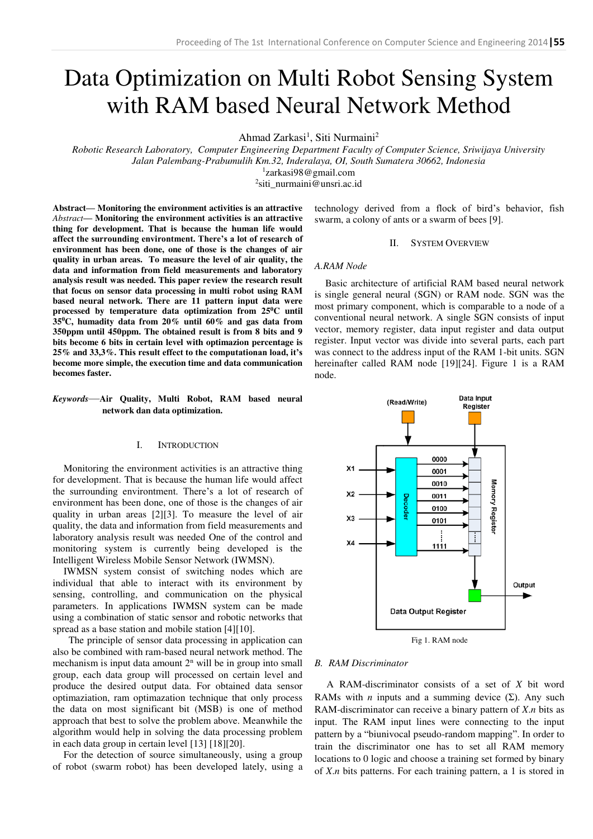# Data Optimization on Multi Robot Sensing System with RAM based Neural Network Method

Ahmad Zarkasi<sup>1</sup>, Siti Nurmaini<sup>2</sup>

*Robotic Research Laboratory, Computer Engineering Department Faculty of Computer Science, Sriwijaya University Jalan Palembang-Prabumulih Km.32, Inderalaya, OI, South Sumatera 30662, Indonesia*

1 [zarkasi98@gmail.com](mailto:1zarkasi98@gmail.com) 

2 [siti\\_nurmaini@unsri.ac.id](mailto:2siti_nurmaini@unsri.ac.id) 

**Abstract— Monitoring the environment activities is an attractive**  *Abstract***— Monitoring the environment activities is an attractive thing for development. That is because the human life would affect the surrounding environtment. There's a lot of research of environment has been done, one of those is the changes of air quality in urban areas. To measure the level of air quality, the data and information from field measurements and laboratory analysis result was needed. This paper review the research result that focus on sensor data processing in multi robot using RAM based neural network. There are 11 pattern input data were processed by temperature data optimization from 25<sup>0</sup>C until 35<sup>0</sup>C, humadity data from 20% until 60% and gas data from 350ppm until 450ppm. The obtained result is from 8 bits and 9 bits become 6 bits in certain level with optimazion percentage is 25% and 33,3%. This result effect to the computationan load, it's become more simple, the execution time and data communication becomes faster.** 

# *Keywords*—**Air Quality, Multi Robot, RAM based neural network dan data optimization.**

# I. INTRODUCTION

Monitoring the environment activities is an attractive thing for development. That is because the human life would affect the surrounding environtment. There's a lot of research of environment has been done, one of those is the changes of air quality in urban areas [2][3]. To measure the level of air quality, the data and information from field measurements and laboratory analysis result was needed One of the control and monitoring system is currently being developed is the Intelligent Wireless Mobile Sensor Network (IWMSN).

IWMSN system consist of switching nodes which are individual that able to interact with its environment by sensing, controlling, and communication on the physical parameters. In applications IWMSN system can be made using a combination of static sensor and robotic networks that spread as a base station and mobile station [4][10].

 The principle of sensor data processing in application can also be combined with ram-based neural network method. The mechanism is input data amount  $2<sup>n</sup>$  will be in group into small group, each data group will processed on certain level and produce the desired output data. For obtained data sensor optimaziation, ram optimazation technique that only process the data on most significant bit (MSB) is one of method approach that best to solve the problem above. Meanwhile the algorithm would help in solving the data processing problem in each data group in certain level [13] [18][20].

For the detection of source simultaneously, using a group of robot (swarm robot) has been developed lately, using a technology derived from a flock of bird's behavior, fish swarm, a colony of ants or a swarm of bees [9].

#### II. SYSTEM OVERVIEW

## *A.RAM Node*

Basic architecture of artificial RAM based neural network is single general neural (SGN) or RAM node. SGN was the most primary component, which is comparable to a node of a conventional neural network. A single SGN consists of input vector, memory register, data input register and data output register. Input vector was divide into several parts, each part was connect to the address input of the RAM 1-bit units. SGN hereinafter called RAM node [19][24]. Figure 1 is a RAM node.



Fig 1. RAM node

## *B. RAM Discriminator*

 A RAM-discriminator consists of a set of *X* bit word RAMs with *n* inputs and a summing device  $(\Sigma)$ . Any such RAM-discriminator can receive a binary pattern of *X*.*n* bits as input. The RAM input lines were connecting to the input pattern by a "biunivocal pseudo-random mapping". In order to train the discriminator one has to set all RAM memory locations to 0 logic and choose a training set formed by binary of *X*.*n* bits patterns. For each training pattern, a 1 is stored in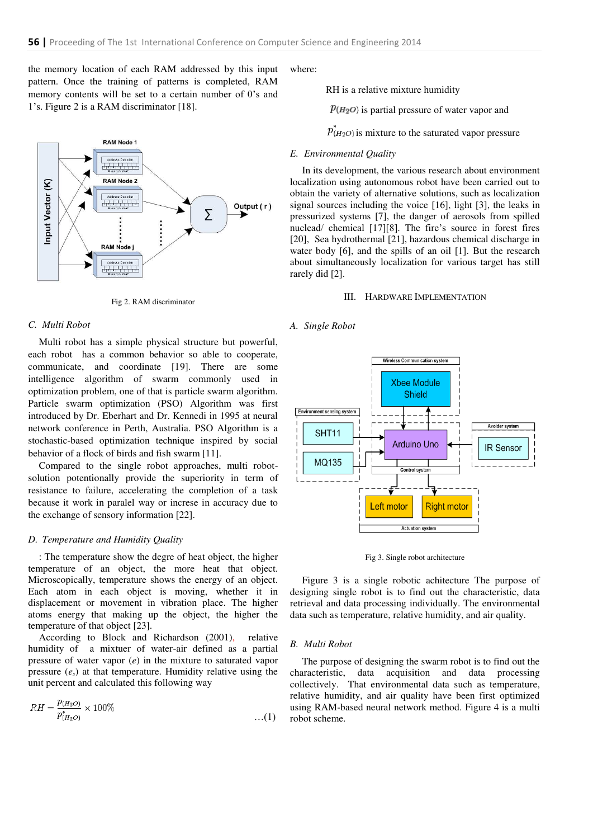the memory location of each RAM addressed by this input pattern. Once the training of patterns is completed, RAM memory contents will be set to a certain number of 0's and 1's. Figure 2 is a RAM discriminator [18].



Fig 2. RAM discriminator

# *C. Multi Robot*

Multi robot has a simple physical structure but powerful, each robot has a common behavior so able to cooperate, communicate, and coordinate [19]. There are some intelligence algorithm of swarm commonly used in optimization problem, one of that is particle swarm algorithm. Particle swarm optimization (PSO) Algorithm was first introduced by Dr. Eberhart and Dr. Kennedi in 1995 at neural network conference in Perth, Australia. PSO Algorithm is a stochastic-based optimization technique inspired by social behavior of a flock of birds and fish swarm [11].

Compared to the single robot approaches, multi robotsolution potentionally provide the superiority in term of resistance to failure, accelerating the completion of a task because it work in paralel way or increse in accuracy due to the exchange of sensory information [22].

# *D. Temperature and Humidity Quality*

: The temperature show the degre of heat object, the higher temperature of an object, the more heat that object. Microscopically, temperature shows the energy of an object. Each atom in each object is moving, whether it in displacement or movement in vibration place. The higher atoms energy that making up the object, the higher the temperature of that object [23].

According to Block and Richardson (2001), relative humidity of a mixtuer of water-air defined as a partial pressure of water vapor (*e*) in the mixture to saturated vapor pressure  $(e_s)$  at that temperature. Humidity relative using the unit percent and calculated this following way

$$
RH = \frac{p_{(H_2O)}}{p_{(H_2O)}^*} \times 100\%
$$
...(1)

where:

RH is a relative mixture humidity

 $\mathcal{P}(H_2O)$  is partial pressure of water vapor and

 $\overline{p}_{(H_2O)}^*$  is mixture to the saturated vapor pressure

## *E. Environmental Quality*

 In its development, the various research about environment localization using autonomous robot have been carried out to obtain the variety of alternative solutions, such as localization signal sources including the voice [16], light [3], the leaks in pressurized systems [7], the danger of aerosols from spilled nuclead/ chemical [17][8]. The fire's source in forest fires [20], Sea hydrothermal [21], hazardous chemical discharge in water body [6], and the spills of an oil [1]. But the research about simultaneously localization for various target has still rarely did [2].

## III. HARDWARE IMPLEMENTATION

## *A. Single Robot*



Fig 3. Single robot architecture

 Figure 3 is a single robotic achitecture The purpose of designing single robot is to find out the characteristic, data retrieval and data processing individually. The environmental data such as temperature, relative humidity, and air quality.

## *B. Multi Robot*

 The purpose of designing the swarm robot is to find out the characteristic, data acquisition and data processing collectively. That environmental data such as temperature, relative humidity, and air quality have been first optimized using RAM-based neural network method. Figure 4 is a multi robot scheme.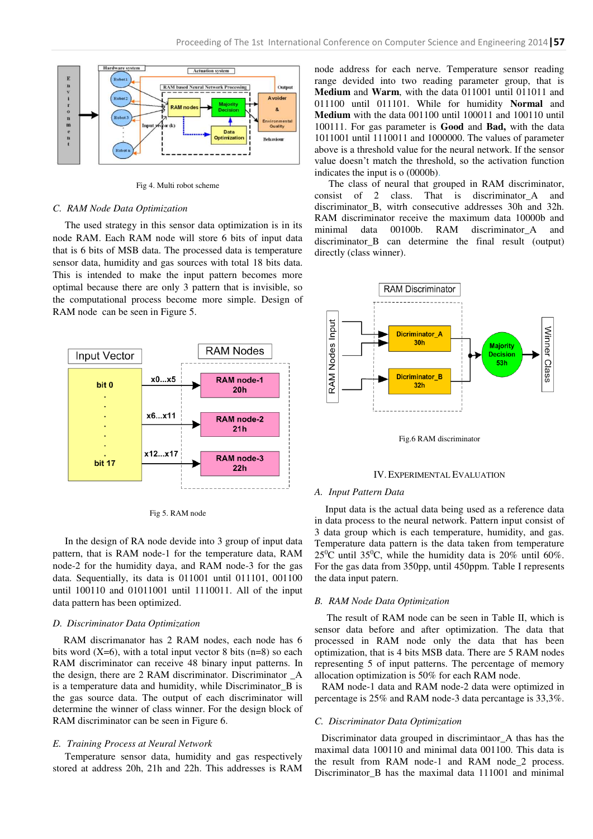

Fig 4. Multi robot scheme

# *C. RAM Node Data Optimization*

 The used strategy in this sensor data optimization is in its node RAM. Each RAM node will store 6 bits of input data that is 6 bits of MSB data. The processed data is temperature sensor data, humidity and gas sources with total 18 bits data. This is intended to make the input pattern becomes more optimal because there are only 3 pattern that is invisible, so the computational process become more simple. Design of RAM node can be seen in Figure 5.



Fig 5. RAM node

 In the design of RA node devide into 3 group of input data pattern, that is RAM node-1 for the temperature data, RAM node-2 for the humidity daya, and RAM node-3 for the gas data. Sequentially, its data is 011001 until 011101, 001100 until 100110 and 01011001 until 1110011. All of the input data pattern has been optimized.

## *D. Discriminator Data Optimization*

RAM discrimanator has 2 RAM nodes, each node has 6 bits word  $(X=6)$ , with a total input vector 8 bits  $(n=8)$  so each RAM discriminator can receive 48 binary input patterns. In the design, there are 2 RAM discriminator. Discriminator \_A is a temperature data and humidity, while Discriminator\_B is the gas source data. The output of each discriminator will determine the winner of class winner. For the design block of RAM discriminator can be seen in Figure 6.

#### *E. Training Process at Neural Network*

 Temperature sensor data, humidity and gas respectively stored at address 20h, 21h and 22h. This addresses is RAM node address for each nerve. Temperature sensor reading range devided into two reading parameter group, that is **Medium** and **Warm**, with the data 011001 until 011011 and 011100 until 011101. While for humidity **Normal** and **Medium** with the data 001100 until 100011 and 100110 until 100111. For gas parameter is **Good** and **Bad,** with the data 1011001 until 1110011 and 1000000. The values of parameter above is a threshold value for the neural network. If the sensor value doesn't match the threshold, so the activation function indicates the input is o (0000b).

The class of neural that grouped in RAM discriminator, consist of 2 class. That is discriminator\_A and discriminator B, witrh consecutive addresses 30h and 32h. RAM discriminator receive the maximum data 10000b and minimal data 00100b. RAM discriminator\_A and discriminator B can determine the final result (output) directly (class winner).



Fig.6 RAM discriminator

## IV.EXPERIMENTAL EVALUATION

## *A. Input Pattern Data*

Input data is the actual data being used as a reference data in data process to the neural network. Pattern input consist of 3 data group which is each temperature, humidity, and gas. Temperature data pattern is the data taken from temperature  $25^{\circ}$ C until 35<sup>o</sup>C, while the humidity data is 20% until 60%. For the gas data from 350pp, until 450ppm. Table I represents the data input patern.

### *B. RAM Node Data Optimization*

 The result of RAM node can be seen in Table II, which is sensor data before and after optimization. The data that processed in RAM node only the data that has been optimization, that is 4 bits MSB data. There are 5 RAM nodes representing 5 of input patterns. The percentage of memory allocation optimization is 50% for each RAM node.

RAM node-1 data and RAM node-2 data were optimized in percentage is 25% and RAM node-3 data percantage is 33,3%.

## *C. Discriminator Data Optimization*

Discriminator data grouped in discrimintaor\_A thas has the maximal data 100110 and minimal data 001100. This data is the result from RAM node-1 and RAM node 2 process. Discriminator B has the maximal data 111001 and minimal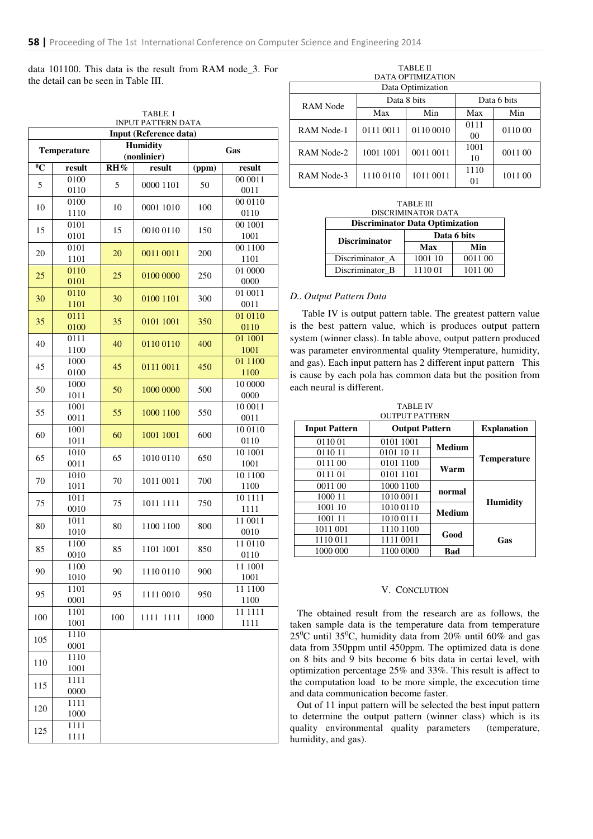data 101100. This data is the result from RAM node\_3. For the detail can be seen in Table III.

| TABLE. I<br><b>INPUT PATTERN DATA</b> |              |     |                                |       |                 |  |  |
|---------------------------------------|--------------|-----|--------------------------------|-------|-----------------|--|--|
| Input (Reference data)                |              |     |                                |       |                 |  |  |
| <b>Temperature</b>                    |              |     | <b>Humidity</b><br>(nonlinier) | Gas   |                 |  |  |
| $\overline{0}_{\mathbb{C}}$           | result       | RH% | result                         | (ppm) | result          |  |  |
|                                       | 0100         |     |                                |       | 00 0011         |  |  |
| 5                                     | 0110         | 5   | 0000 1101                      | 50    | 0011            |  |  |
|                                       | 0100         |     |                                |       | 00 01 10        |  |  |
| 10                                    | 1110         | 10  | 0001 1010                      | 100   | 0110            |  |  |
| 15                                    | 0101         | 15  | 0010 0110                      | 150   | 00 1001         |  |  |
|                                       | 0101         |     |                                |       | 1001            |  |  |
| 20                                    | 0101         | 20  | 0011 0011                      | 200   | 001100          |  |  |
|                                       | 1101         |     |                                |       | 1101            |  |  |
| 25                                    | 0110<br>0101 | 25  | 0100 0000                      | 250   | 01 0000<br>0000 |  |  |
|                                       | 0110         |     |                                |       | 01 0011         |  |  |
| 30                                    | 1101         | 30  | 0100 1101                      | 300   | 0011            |  |  |
|                                       | 0111         |     |                                |       | 01 01 10        |  |  |
| 35                                    | 0100         | 35  | 0101 1001                      | 350   | 0110            |  |  |
| 40                                    | 0111         | 40  |                                |       | 01 1001         |  |  |
|                                       | 1100         |     | 0110 0110                      | 400   | 1001            |  |  |
| 45                                    | 1000         | 45  | 0111 0011                      | 450   | 01 1100         |  |  |
|                                       | 0100         |     |                                |       | 1100            |  |  |
| 50                                    | 1000         | 50  | 1000 0000                      | 500   | 10 0000         |  |  |
|                                       | 1011         |     |                                |       | 0000            |  |  |
| 55                                    | 1001<br>0011 | 55  | 1000 1100                      | 550   | 10 0011<br>0011 |  |  |
|                                       | 1001         |     | 1001 1001                      | 600   | 10 01 10        |  |  |
| 60                                    | 1011         | 60  |                                |       | 0110            |  |  |
|                                       | 1010         |     | 1010 0110                      | 650   | 10 1001         |  |  |
| 65                                    | 0011         | 65  |                                |       | 1001            |  |  |
| 70                                    | 1010         | 70  | 1011 0011                      | 700   | 101100          |  |  |
|                                       | 1011         |     |                                |       | 1100            |  |  |
| 75                                    | 1011         | 75  | 1011 1111                      | 750   | 10 11 11        |  |  |
|                                       | 0010         |     |                                |       | 1111            |  |  |
| 80                                    | 1011<br>1010 | 80  | 1100 1100                      | 800   | 11 0011<br>0010 |  |  |
|                                       | 1100         |     |                                |       | 11 01 10        |  |  |
| 85                                    | 0010         | 85  | 1101 1001                      | 850   | 0110            |  |  |
|                                       | 1100         |     | 1110 0110                      | 900   | 11 1001         |  |  |
| 90                                    | 1010         | 90  |                                |       | 1001            |  |  |
| 95                                    | 1101         | 95  | 1111 0010                      | 950   | 11 1100         |  |  |
|                                       | 0001         |     |                                |       | 1100            |  |  |
| 100                                   | 1101         | 100 | 1111 1111                      | 1000  | 11 11 11        |  |  |
|                                       | 1001         |     |                                |       | 1111            |  |  |
| 105                                   | 1110         |     |                                |       |                 |  |  |
| 110                                   | 0001<br>1110 |     |                                |       |                 |  |  |
|                                       | 1001         |     |                                |       |                 |  |  |
|                                       | 1111         |     |                                |       |                 |  |  |
| 115                                   | 0000         |     |                                |       |                 |  |  |
|                                       | 1111         |     |                                |       |                 |  |  |
| 120                                   | 1000         |     |                                |       |                 |  |  |
| 125                                   | 1111         |     |                                |       |                 |  |  |
|                                       | 1111         |     |                                |       |                 |  |  |

| <b>TABLE II</b><br>DATA OPTIMIZATION |           |             |             |         |  |  |
|--------------------------------------|-----------|-------------|-------------|---------|--|--|
| Data Optimization                    |           |             |             |         |  |  |
| RAM Node                             |           | Data 8 bits | Data 6 bits |         |  |  |
|                                      | Max       | Min         | Max         | Min     |  |  |
| RAM Node-1                           | 0111 0011 | 0110 0010   | 0111<br>00  | 0110 00 |  |  |
| RAM Node-2                           | 1001 1001 | 0011 0011   | 1001<br>10  | 0011 00 |  |  |
| RAM Node-3                           | 1110 0110 | 1011 0011   | 1110<br>01  | 1011 00 |  |  |

TABLE III DISCRIMINATOR DATA

| <b>Discriminator Data Optimization</b> |             |         |  |  |
|----------------------------------------|-------------|---------|--|--|
| <b>Discriminator</b>                   | Data 6 bits |         |  |  |
|                                        | Max         | Min     |  |  |
| Discriminator A                        | 1001 10     | 0011 00 |  |  |
| Discriminator B                        | 1110 01     | 1011 00 |  |  |

## *D.. Output Pattern Data*

 Table IV is output pattern table. The greatest pattern value is the best pattern value, which is produces output pattern system (winner class). In table above, output pattern produced was parameter environmental quality 9temperature, humidity, and gas). Each input pattern has 2 different input pattern This is cause by each pola has common data but the position from each neural is different.

| TABLE IV       |
|----------------|
| OUTPUT PATTERN |

| <b>Input Pattern</b> | <b>Explanation</b>    |               |                    |
|----------------------|-----------------------|---------------|--------------------|
|                      | <b>Output Pattern</b> |               |                    |
| 011001               | 0101 1001             | <b>Medium</b> | <b>Temperature</b> |
| 0110 11              | 0101 10 11            |               |                    |
| 0111 00              | 0101 1100             | Warm          |                    |
| 0111 01              | 0101 1101             |               |                    |
| 0011 00              | 1000 1100             | normal        | <b>Humidity</b>    |
| 1000 11              | 1010 0011             |               |                    |
| 1001 10              | 1010 0110             | <b>Medium</b> |                    |
| 1001 11              | 1010 0111             |               |                    |
| 1011 001             | 1110 1100             | Good          | Gas                |
| 1110 011             | 1111 0011             |               |                    |
| 1000 000             | 1100 0000             | <b>Bad</b>    |                    |

## V. CONCLUTION

The obtained result from the research are as follows, the taken sample data is the temperature data from temperature  $25^{\circ}$ C until 35<sup>o</sup>C, humidity data from 20% until 60% and gas data from 350ppm until 450ppm. The optimized data is done on 8 bits and 9 bits become 6 bits data in certai level, with optimization percentage 25% and 33%. This result is affect to the computation load to be more simple, the excecution time and data communication become faster.

Out of 11 input pattern will be selected the best input pattern to determine the output pattern (winner class) which is its quality environmental quality parameters (temperature, humidity, and gas).